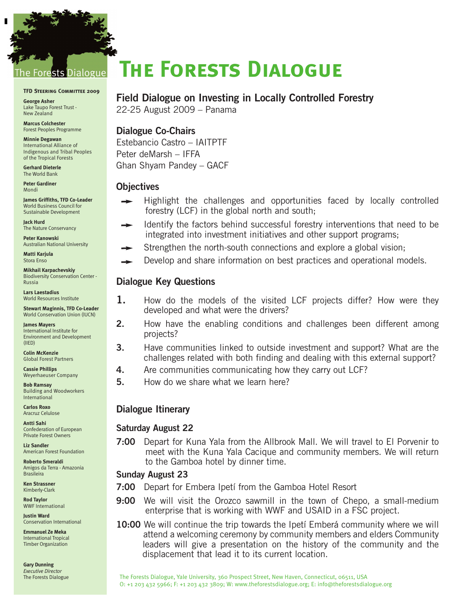## sts Dialogue

#### **TFD Steering Committee 2009**

**George Asher** Lake Taupo Forest Trust - New Zealand

-

**Marcus Colchester** Forest Peoples Programme

**Minnie Degawan** International Alliance of Indigenous and Tribal Peoples of the Tropical Forests

**Gerhard Dieterle** The World Bank

**Peter Gardiner** Mondi

**James Griffiths, TFD Co-Leader** World Business Council for Sustainable Development

**Jack Hurd**  The Nature Conservancy

**Peter Kanowski**  Australian National University

**Matti Karjula**  Stora Enso

**Mikhail Karpachevskiy** Biodiversity Conservation Center - Russia

**Lars Laestadius**  World Resources Institute

**Stewart Maginnis, TFD Co-Leader** World Conservation Union (IUCN)

**James Mayers**  International Institute for Environment and Development (IIED)

**Colin McKenzie** Global Forest Partners

**Cassie Phillips** Weyerhaeuser Company

**Bob Ramsay** Building and Woodworkers International

**Carlos Roxo** Aracruz Celulose

**Antti Sahi**  Confederation of European Private Forest Owners

**Liz Sandler**  American Forest Foundation

**Roberto Smeraldi** Amigos da Terra - Amazonia Brasileira

**Ken Strassner**  Kimberly-Clark

**Rod Taylor** WWF International

**Justin Ward** Conservation International

**Emmanuel Ze Meka** International Tropical Timber Organization

**Gary Dunning** *Executive Director* The Forests Dialogue

# **The Forests Dialogue**

### **Field Dialogue on Investing in Locally Controlled Forestry**

22-25 August 2009 – Panama

### **Dialogue Co-Chairs**

Estebancio Castro – IAITPTF Peter deMarsh – IFFA Ghan Shyam Pandey – GACF

#### **Objectives**

- Highlight the challenges and opportunities faced by locally controlled forestry (LCF) in the global north and south;
- Identify the factors behind successful forestry interventions that need to be integrated into investment initiatives and other support programs;
- Strengthen the north-south connections and explore a global vision;
- Develop and share information on best practices and operational models.

#### **Dialogue Key Questions**

- **1.** How do the models of the visited LCF projects differ? How were they developed and what were the drivers?
- **2.** How have the enabling conditions and challenges been different among projects?
- **3.** Have communities linked to outside investment and support? What are the challenges related with both finding and dealing with this external support?
- **4.** Are communities communicating how they carry out LCF?
- **5.** How do we share what we learn here?

#### **Dialogue Itinerary**

#### **Saturday August 22**

**7:00** Depart for Kuna Yala from the Allbrook Mall. We will travel to El Porvenir to meet with the Kuna Yala Cacique and community members. We will return to the Gamboa hotel by dinner time.

#### **Sunday August 23**

- **7:00** Depart for Embera Ipetí from the Gamboa Hotel Resort
- **9:00** We will visit the Orozco sawmill in the town of Chepo, a small-medium enterprise that is working with WWF and USAID in a FSC project.
- **10:00** We will continue the trip towards the Ipetí Emberá community where we will attend a welcoming ceremony by community members and elders Community leaders will give a presentation on the history of the community and the displacement that lead it to its current location.